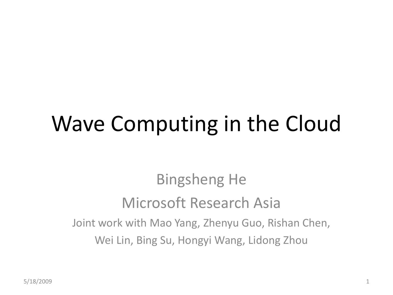#### Wave Computing in the Cloud

Bingsheng He Microsoft Research Asia Joint work with Mao Yang, Zhenyu Guo, Rishan Chen, Wei Lin, Bing Su, Hongyi Wang, Lidong Zhou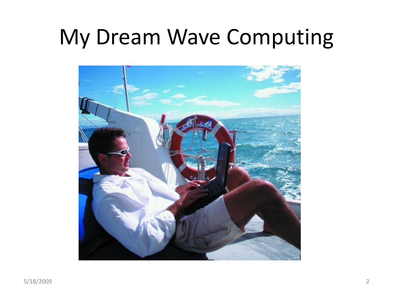#### My Dream Wave Computing

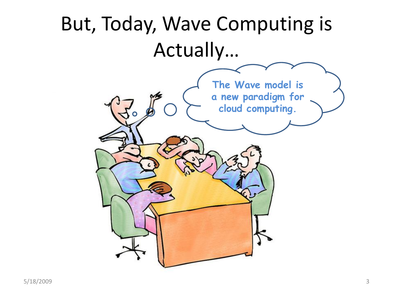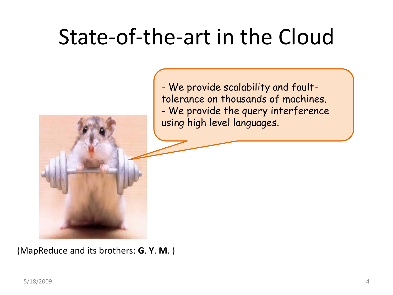#### State-of-the-art in the Cloud

- We provide scalability and faulttolerance on thousands of machines. - We provide the query interference using high level languages.

(MapReduce and its brothers: **G**. **Y**. **M**. )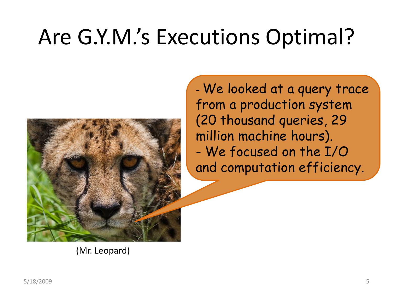## Are G.Y.M.'s Executions Optimal?



- We looked at a query trace from a production system (20 thousand queries, 29 million machine hours). - We focused on the I/O and computation efficiency.

(Mr. Leopard)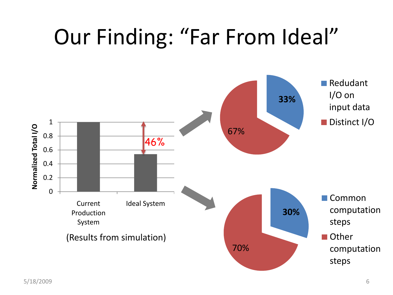#### Our Finding: "Far From Ideal"

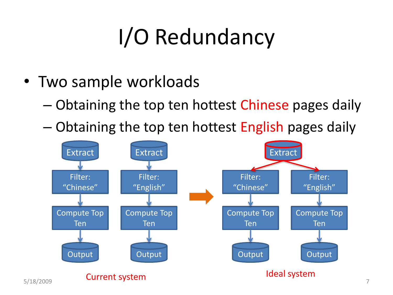## I/O Redundancy

- Two sample workloads
	- Obtaining the top ten hottest Chinese pages daily
	- Obtaining the top ten hottest English pages daily

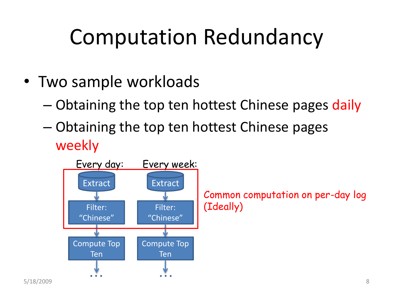#### Computation Redundancy

- Two sample workloads
	- Obtaining the top ten hottest Chinese pages daily
	- Obtaining the top ten hottest Chinese pages weekly

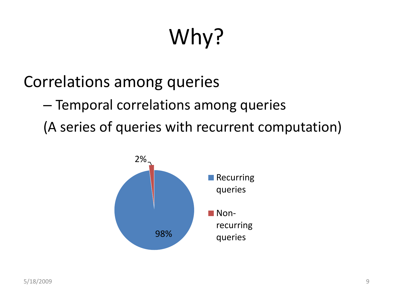# Why?

Correlations among queries

– Temporal correlations among queries

(A series of queries with recurrent computation)

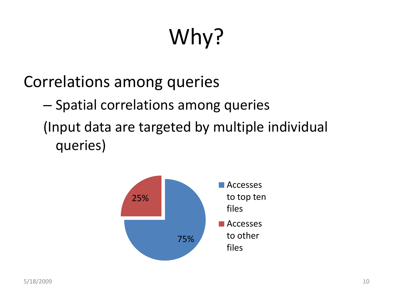# Why?

Correlations among queries

– Spatial correlations among queries (Input data are targeted by multiple individual queries)

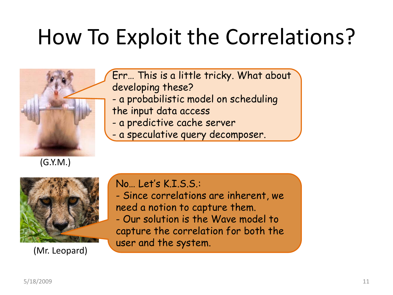#### How To Exploit the Correlations?



Err… This is a little tricky. What about developing these?

- a probabilistic model on scheduling
- the input data access
- a predictive cache server
- a speculative query decomposer.



(Mr. Leopard)

No… Let's K.I.S.S.:

- Since correlations are inherent, we need a notion to capture them.

- Our solution is the Wave model to capture the correlation for both the user and the system.

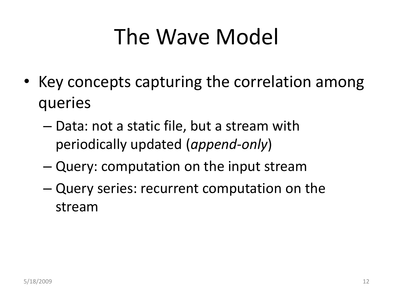## The Wave Model

- Key concepts capturing the correlation among queries
	- Data: not a static file, but a stream with periodically updated (*append-only*)
	- Query: computation on the input stream
	- Query series: recurrent computation on the stream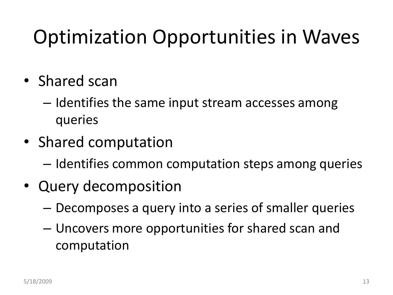#### Optimization Opportunities in Waves

- Shared scan
	- Identifies the same input stream accesses among queries
- Shared computation
	- Identifies common computation steps among queries
- Query decomposition
	- Decomposes a query into a series of smaller queries
	- Uncovers more opportunities for shared scan and computation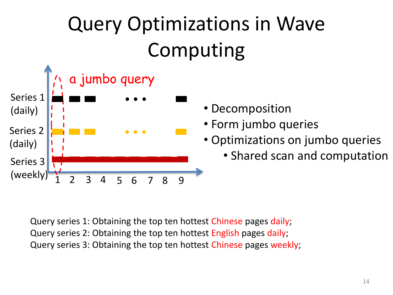### Query Optimizations in Wave Computing



- 
- Form jumbo queries
- Optimizations on jumbo queries
	- Shared scan and computation

Query series 1: Obtaining the top ten hottest Chinese pages daily; Query series 2: Obtaining the top ten hottest English pages daily; Query series 3: Obtaining the top ten hottest Chinese pages weekly;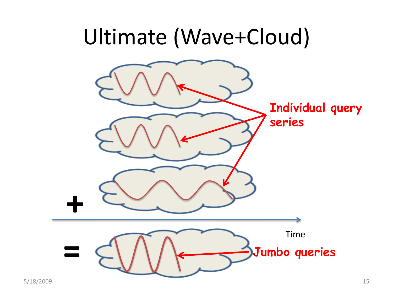#### Ultimate (Wave+Cloud)

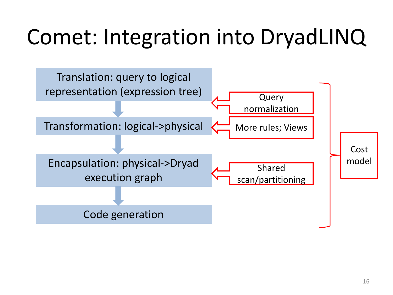## Comet: Integration into DryadLINQ

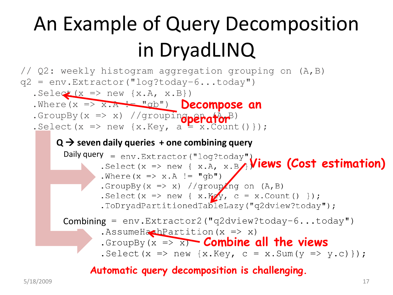#### An Example of Query Decomposition in DryadLINQ

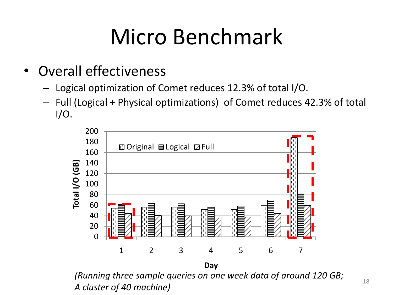## Micro Benchmark

- Overall effectiveness
	- Logical optimization of Comet reduces 12.3% of total I/O.
	- Full (Logical + Physical optimizations) of Comet reduces 42.3% of total I/O.



*(Running three sample queries on one week data of around 120 GB; A cluster of 40 machine*) 18